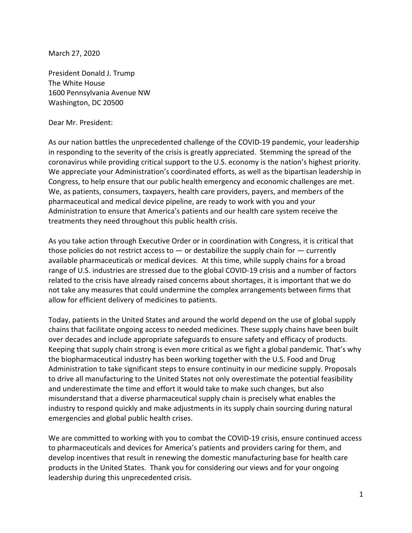March 27, 2020

President Donald J. Trump The White House 1600 Pennsylvania Avenue NW Washington, DC 20500

Dear Mr. President:

As our nation battles the unprecedented challenge of the COVID-19 pandemic, your leadership in responding to the severity of the crisis is greatly appreciated. Stemming the spread of the coronavirus while providing critical support to the U.S. economy is the nation's highest priority. We appreciate your Administration's coordinated efforts, as well as the bipartisan leadership in Congress, to help ensure that our public health emergency and economic challenges are met. We, as patients, consumers, taxpayers, health care providers, payers, and members of the pharmaceutical and medical device pipeline, are ready to work with you and your Administration to ensure that America's patients and our health care system receive the treatments they need throughout this public health crisis.

As you take action through Executive Order or in coordination with Congress, it is critical that those policies do not restrict access to  $-$  or destabilize the supply chain for  $-$  currently available pharmaceuticals or medical devices. At this time, while supply chains for a broad range of U.S. industries are stressed due to the global COVID-19 crisis and a number of factors related to the crisis have already raised concerns about shortages, it is important that we do not take any measures that could undermine the complex arrangements between firms that allow for efficient delivery of medicines to patients.

Today, patients in the United States and around the world depend on the use of global supply chains that facilitate ongoing access to needed medicines. These supply chains have been built over decades and include appropriate safeguards to ensure safety and efficacy of products. Keeping that supply chain strong is even more critical as we fight a global pandemic. That's why the biopharmaceutical industry has been working together with the U.S. Food and Drug Administration to take significant steps to ensure continuity in our medicine supply. Proposals to drive all manufacturing to the United States not only overestimate the potential feasibility and underestimate the time and effort it would take to make such changes, but also misunderstand that a diverse pharmaceutical supply chain is precisely what enables the industry to respond quickly and make adjustments in its supply chain sourcing during natural emergencies and global public health crises.

We are committed to working with you to combat the COVID-19 crisis, ensure continued access to pharmaceuticals and devices for America's patients and providers caring for them, and develop incentives that result in renewing the domestic manufacturing base for health care products in the United States. Thank you for considering our views and for your ongoing leadership during this unprecedented crisis.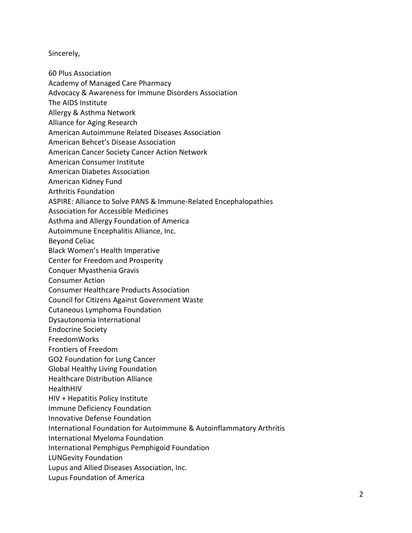Sincerely,

- 60 Plus Association
- Academy of Managed Care Pharmacy
- Advocacy & Awareness for Immune Disorders Association
- The AIDS Institute
- Allergy & Asthma Network
- Alliance for Aging Research
- American Autoimmune Related Diseases Association
- American Behcet's Disease Association
- American Cancer Society Cancer Action Network
- American Consumer Institute
- American Diabetes Association
- American Kidney Fund
- Arthritis Foundation
- ASPIRE: Alliance to Solve PANS & Immune-Related Encephalopathies
- Association for Accessible Medicines
- Asthma and Allergy Foundation of America
- Autoimmune Encephalitis Alliance, Inc.
- Beyond Celiac
- Black Women's Health Imperative
- Center for Freedom and Prosperity
- Conquer Myasthenia Gravis
- Consumer Action
- Consumer Healthcare Products Association
- Council for Citizens Against Government Waste
- Cutaneous Lymphoma Foundation
- Dysautonomia International
- Endocrine Society
- FreedomWorks
- Frontiers of Freedom
- GO2 Foundation for Lung Cancer
- Global Healthy Living Foundation
- Healthcare Distribution Alliance
- HealthHIV
- HIV + Hepatitis Policy Institute
- Immune Deficiency Foundation
- Innovative Defense Foundation
- International Foundation for Autoimmune & Autoinflammatory Arthritis
- International Myeloma Foundation
- International Pemphigus Pemphigoid Foundation
- LUNGevity Foundation
- Lupus and Allied Diseases Association, Inc.
- Lupus Foundation of America